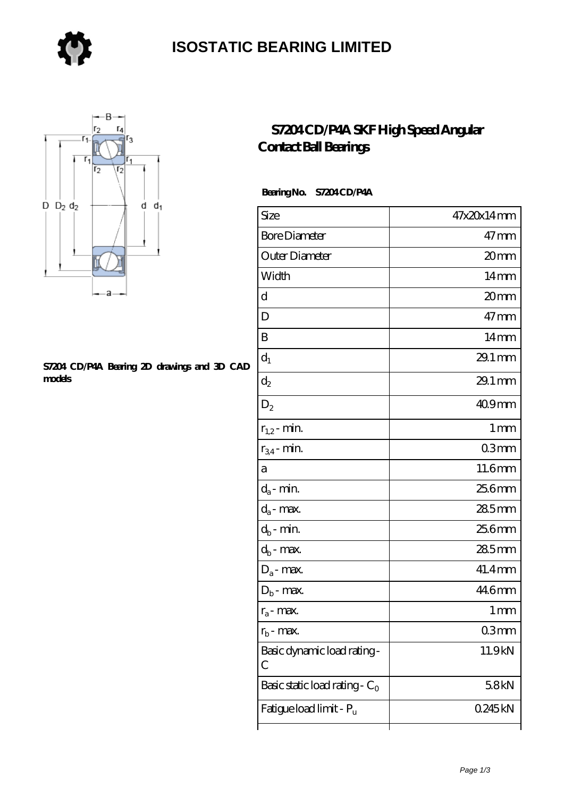

### **[ISOSTATIC BEARING LIMITED](https://store-isabelmarant.com)**



#### **[S7204 CD/P4A Bearing 2D drawings and 3D CAD](https://store-isabelmarant.com/pic-931642.html) [models](https://store-isabelmarant.com/pic-931642.html)**

### **[S7204 CD/P4A SKF High Speed Angular](https://store-isabelmarant.com/skf-bearings/s7204-cd-p4a.html) [Contact Ball Bearings](https://store-isabelmarant.com/skf-bearings/s7204-cd-p4a.html)**

#### Bearing No. S7204 CD/P4A

| Size                             | 47x20x14mm           |
|----------------------------------|----------------------|
| <b>Bore Diameter</b>             | $47$ mm              |
| Outer Diameter                   | 20mm                 |
| Width                            | 14mm                 |
| d                                | 20mm                 |
| D                                | $47$ mm              |
| B                                | 14 <sub>mm</sub>     |
| $d_1$                            | 29.1 mm              |
| $\mathrm{d}_2$                   | $29.1 \,\mathrm{mm}$ |
| $D_2$                            | 409mm                |
| $r_{1,2}$ - min.                 | $1 \,\mathrm{mm}$    |
| $r_{34}$ - min.                  | 03 <sub>mm</sub>     |
| а                                | 11.6mm               |
| $d_a$ - min.                     | 25.6mm               |
| $d_a$ - max.                     | 285mm                |
| $d_b$ - min.                     | 25.6mm               |
| $d_b$ - max.                     | $285$ mm             |
| $D_a$ - max.                     | 41.4mm               |
| $D_b$ - max.                     | 44.6mm               |
| $r_a$ - max.                     | 1 <sub>mm</sub>      |
| $r_{\rm b}$ - max.               | Q3mm                 |
| Basic dynamic load rating-<br>С  | 11.9kN               |
| Basic static load rating - $C_0$ | 58kN                 |
| Fatigue load limit - Pu          | 0245kN               |
|                                  |                      |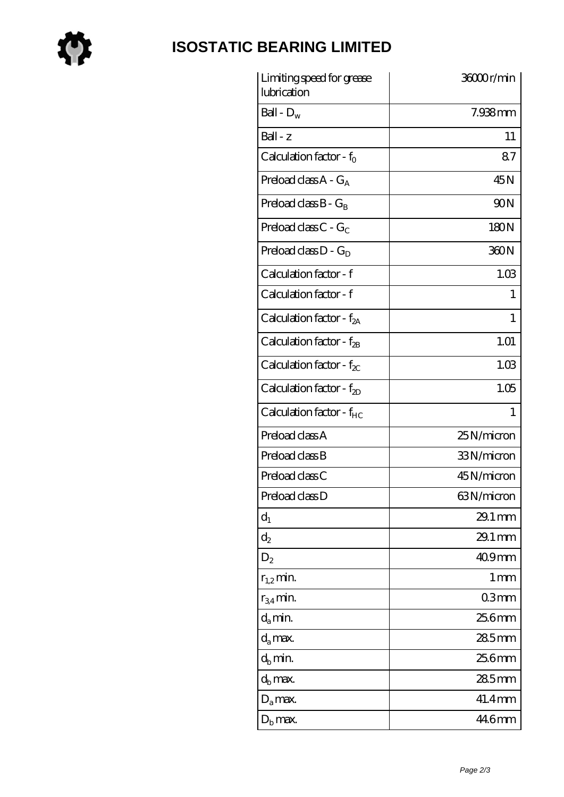

# **[ISOSTATIC BEARING LIMITED](https://store-isabelmarant.com)**

| Limiting speed for grease<br>lubrication | 36000r/min           |
|------------------------------------------|----------------------|
| Ball - $D_w$                             | $7.938$ mm           |
| Ball - z                                 | 11                   |
| Calculation factor - $f_0$               | 87                   |
| Preload class $A - G_A$                  | 45N                  |
| Preload class $B - G_B$                  | 90N                  |
| Preload class C - $G_C$                  | 180N                 |
| Preload class $D - G_D$                  | 360N                 |
| Calculation factor - f                   | 1.03                 |
| Calculation factor - f                   | 1                    |
| Calculation factor - $f_{2A}$            | 1                    |
| Calculation factor - $f_{2B}$            | 1.01                 |
| Calculation factor - $f_{\chi}$          | 1.03                 |
| Calculation factor - $f_{2D}$            | 1.05                 |
| Calculation factor - f <sub>HC</sub>     | 1                    |
| Preload class A                          | 25N/micron           |
| Preload class B                          | 33N/micron           |
| Preload class C                          | 45N/micron           |
| Preload class D                          | 63N/micron           |
| $d_1$                                    | $29.1 \,\mathrm{mm}$ |
| $\mathrm{d}_2$                           | $29.1 \,\mathrm{mm}$ |
| $D_2$                                    | 409mm                |
| $r_{1,2}$ min.                           | $1 \,\mathrm{mm}$    |
| $r_{34}$ min.                            | 03mm                 |
| $d_a$ min.                               | 25.6mm               |
| $d_a$ max.                               | 285mm                |
| $d_h$ min.                               | 25.6mm               |
| $d_h$ max.                               | 285mm                |
| $D_a$ max.                               | 41.4mm               |
| $D_{\rm b}$ max.                         | 44.6mm               |